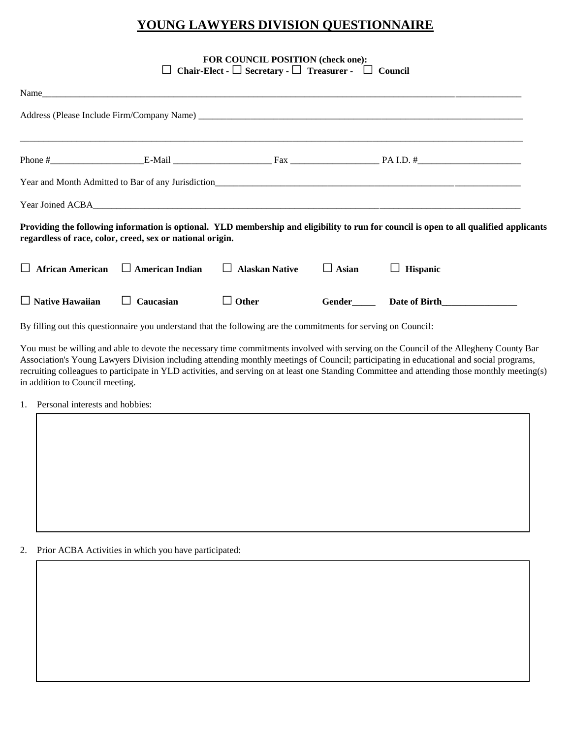## **YOUNG LAWYERS DIVISION QUESTIONNAIRE**

## **FOR COUNCIL POSITION (check one):**  □ **Chair-Elect -**□**Secretary -**□ **Treasurer -** □ **Council**

| Name                   |                                                                                                                 |                       |              |                                                                                                                                        |
|------------------------|-----------------------------------------------------------------------------------------------------------------|-----------------------|--------------|----------------------------------------------------------------------------------------------------------------------------------------|
|                        |                                                                                                                 |                       |              |                                                                                                                                        |
|                        |                                                                                                                 |                       |              |                                                                                                                                        |
|                        |                                                                                                                 |                       |              |                                                                                                                                        |
|                        | regardless of race, color, creed, sex or national origin.                                                       |                       |              | Providing the following information is optional. YLD membership and eligibility to run for council is open to all qualified applicants |
|                        | $\Box$ African American $\Box$ American Indian $\Box$                                                           | <b>Alaskan Native</b> | $\Box$ Asian | <b>Hispanic</b><br>⊔                                                                                                                   |
| $\Box$ Native Hawaiian | $\Box$ Caucasian                                                                                                | $\Box$ Other          |              | Gender Date of Birth                                                                                                                   |
|                        | By filling out this questionnaire you understand that the following are the commitments for serving on Council: |                       |              |                                                                                                                                        |

You must be willing and able to devote the necessary time commitments involved with serving on the Council of the Allegheny County Bar Association's Young Lawyers Division including attending monthly meetings of Council; participating in educational and social programs, recruiting colleagues to participate in YLD activities, and serving on at least one Standing Committee and attending those monthly meeting(s) in addition to Council meeting.

1. Personal interests and hobbies:

2. Prior ACBA Activities in which you have participated: